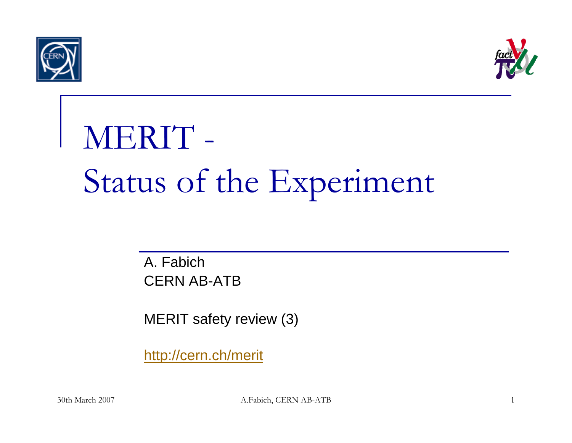



## MERIT - Status of the Experiment

A. FabichCERN AB-ATB

MERIT safety review (3)

http://cern.ch/merit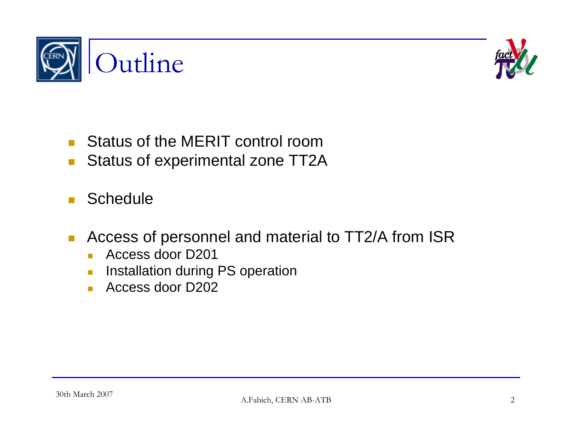



- П **Status of the MERIT control room**
- **The State** Status of experimental zone TT2A
- П **Schedule**
- $\mathcal{C}^{\mathcal{A}}$  Access of personnel and material to TT2/A from ISR
	- Access door D201
	- $\overline{\mathbb{R}^2}$ Installation during PS operation
	- $\overline{\mathcal{L}}$ Access door D202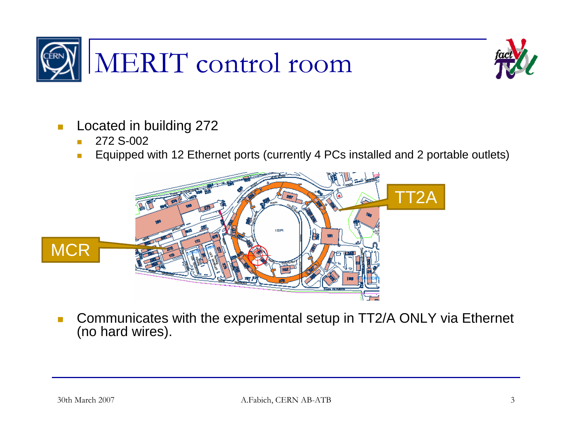



- $\left\vert \cdot \right\vert$  Located in building 272
	- m. 272 S-002
	- $\mathcal{C}^{\mathcal{A}}$ Equipped with 12 Ethernet ports (currently 4 PCs installed and 2 portable outlets)



 $\mathcal{L}_{\mathcal{A}}$  Communicates with the experimental setup in TT2/A ONLY via Ethernet (no hard wires).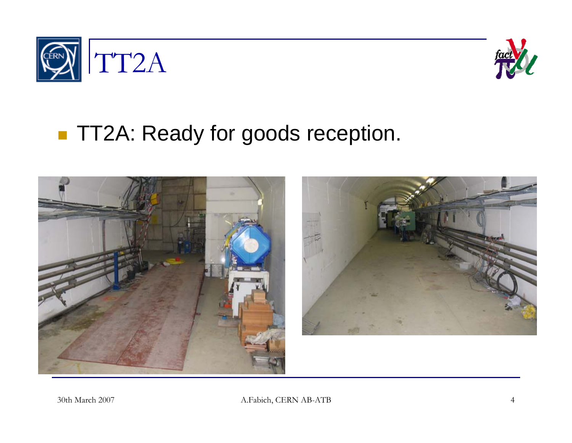



## **TT2A: Ready for goods reception.**



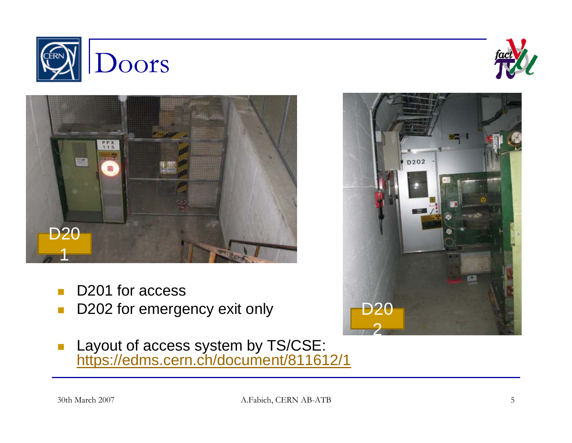





- п D201 for access
- $\mathbb{R}^n$ D202 for emergency exit only
- $\blacksquare$ **Layout of access system by TS/CSE:** https://edms.cern.ch/document/811612/1

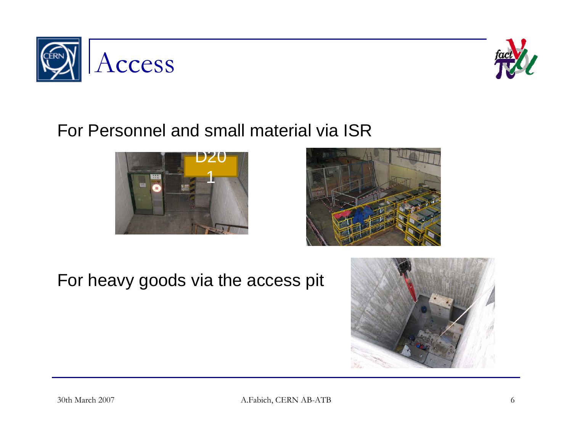



## For Personnel and small material via ISR





For heavy goods via the access pit

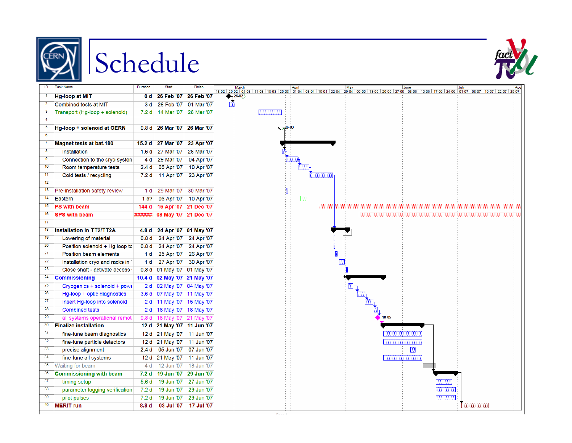





| ID                      | <b>Task Name</b>                | Duration          | <b>Start</b> | Finish     | h                             |
|-------------------------|---------------------------------|-------------------|--------------|------------|-------------------------------|
| T                       | Hg-loop at MIT                  | 0 d               | 26 Feb '07   | 26 Feb '07 | 18-02 25-02<br>$\overline{2}$ |
| $\overline{2}$          | Combined tests at MIT           | 3 d               | 26 Feb '07   | 01 Mar '07 |                               |
| 3                       | Transport (Hg-loop + solenoid)  | 7.2 d             | 14 Mar '07   | 26 Mar '07 |                               |
| $\overline{4}$          |                                 |                   |              |            |                               |
| 5                       | Hg-loop + solenoid at CERN      | 0.8 <sub>d</sub>  | 26 Mar '07   | 26 Mar '07 |                               |
| $\overline{\mathbf{6}}$ |                                 |                   |              |            |                               |
| 7                       | <b>Magnet tests at bat.180</b>  | 15.2 d            | 27 Mar '07   | 23 Apr '07 |                               |
| $\overline{\mathbf{8}}$ | Installation                    | 1.6 <sub>d</sub>  | 27 Mar '07   | 28 Mar '07 |                               |
| 9                       | Connection to the cryo systen   | 4 d               | 29 Mar '07   | 04 Apr '07 |                               |
| 10                      | Room temperature tests          | 2.4 <sub>d</sub>  | 05 Apr '07   | 10 Apr '07 |                               |
| $\overline{11}$         | Cold tests / recycling          | 7.2d              | 11 Apr '07   | 23 Apr '07 |                               |
| $\overline{12}$         |                                 |                   |              |            |                               |
| 13                      | Pre-installation safety review  | 1 <sub>d</sub>    | 29 Mar '07   | 30 Mar '07 |                               |
| 14                      | Eastern                         | $1d$ ?            | 06 Apr '07   | 10 Apr '07 |                               |
| 15                      | <b>PS with beam</b>             | 144 d             | 16 Apr '07   | 21 Dec '07 |                               |
| 16                      | <b>SPS with beam</b>            | ######            | 08 May '07   | 21 Dec '07 |                               |
| $\overline{17}$         |                                 |                   |              |            |                               |
| 18                      | Installation in TT2/TT2A        | 4.8 d             | 24 Apr '07   | 01 May '07 |                               |
| $\overline{19}$         | Lowering of material            | 0.8 <sub>d</sub>  | 24 Apr '07   | 24 Apr '07 |                               |
| 20                      | Position solenoid + Hg loop to  | 0.8 <sub>d</sub>  | 24 Apr '07   | 24 Apr '07 |                               |
| $\overline{21}$         | Position beam elements          | 1 d               | 25 Apr '07   | 26 Apr '07 |                               |
| $\overline{22}$         | Installation cryo and racks in  | 1 <sub>d</sub>    | 27 Apr '07   | 30 Apr '07 |                               |
| 23                      | Close shaft - activate access : | 0.8 <sub>d</sub>  | 01 May '07   | 01 May '07 |                               |
| 24                      | <b>Commissioning</b>            | 10.4 <sub>d</sub> | 02 May '07   | 21 May '07 |                               |
| $\overline{25}$         | Cryogenics + solenoid + powe    | 2d                | 02 May '07   | 04 May '07 |                               |
| 26                      | Hg-loop + optic diagnostics     | 3.6 <sub>d</sub>  | 07 May '07   | 11 May '07 |                               |
| $\overline{27}$         | Insert Hg-loop into solenoid    | 2 d               | 11 May '07   | 15 May '07 |                               |
| 28                      | <b>Combined tests</b>           | 2d                | 16 May '07   | 18 May '07 |                               |
| 29                      | all systems operational remot   | 0.8 <sub>d</sub>  | 18 May '07   | 21 May '07 |                               |
| 30                      | <b>Finalize installation</b>    | 12d               | 21 May '07   | 11 Jun '07 |                               |
| $\overline{31}$         | fine-tune beam diagnostics      | 12 <sub>d</sub>   | 21 May '07   | 11 Jun '07 |                               |
| $\overline{32}$         | fine-tune particle detectors    | 12d               | 21 May '07   | 11 Jun '07 |                               |
| $\overline{33}$         | precise alignment               | 2.4 <sub>d</sub>  | 05 Jun '07   | 07 Jun '07 |                               |
| 34                      | fine-tune all systems           | 12 <sub>d</sub>   | 21 May '07   | 11 Jun '07 |                               |
| $\overline{35}$         | Waiting for beam                | 4 d               | 12 Jun '07   | 18 Jun '07 |                               |
| 36                      | <b>Commissioning with beam</b>  | 7.2 <sub>d</sub>  | 19 Jun '07   | 29 Jun '07 |                               |
| $\overline{37}$         | timing setup                    | 5.6 <sub>d</sub>  | 19 Jun '07   | 27 Jun '07 |                               |
| 38                      | parameter logging verification  | 7.2 <sub>d</sub>  | 19 Jun '07   | 29 Jun '07 |                               |
| 39                      | pilot pulses                    | 7.2 <sub>d</sub>  | 19 Jun '07   | 29 Jun '07 |                               |
| 40                      | <b>MERIT</b> run                | 8.8 <sub>d</sub>  | 03 Jul '07   | 17 Jul '07 |                               |

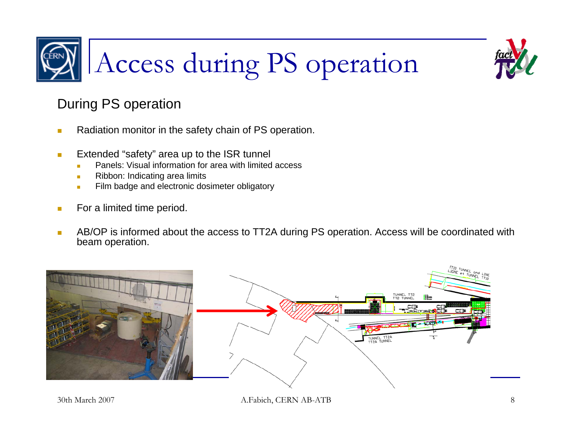

## During PS operation

- × Radiation monitor in the safety chain of PS operation.
- **C**  Extended "safety" area up to the ISR tunnel
	- П Panels: Visual information for area with limited access
	- П Ribbon: Indicating area limits
	- $\overline{\phantom{a}}$ Film badge and electronic dosimeter obligatory
- $\mathcal{L}_{\mathcal{A}}$ For a limited time period.
- × AB/OP is informed about the access to TT2A during PS operation. Access will be coordinated with beam operation.

Access during PS operation



30th March 2007